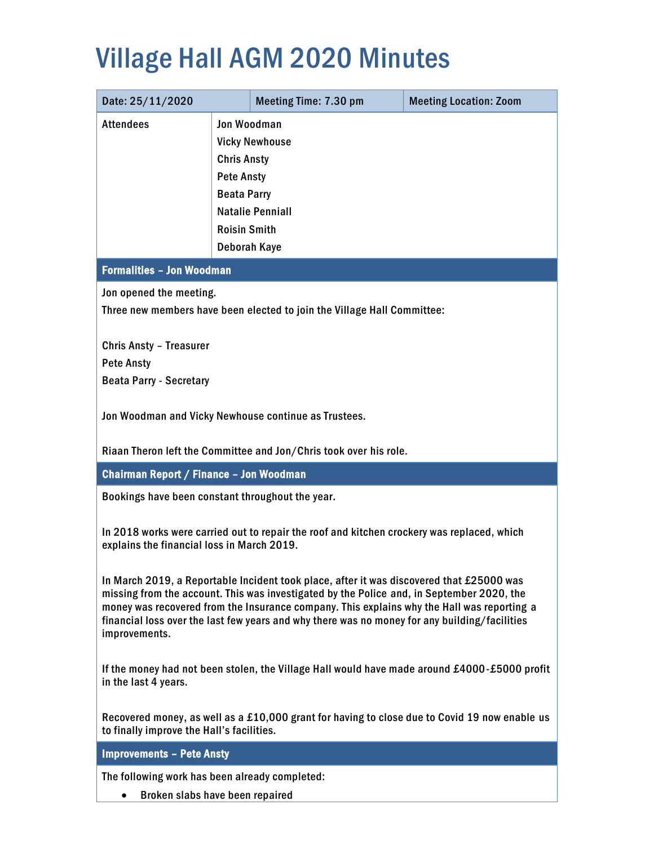### Village Hall AGM 2020 Minutes

| Date: 25/11/2020                                                                                                                                                                        |                       | Meeting Time: 7.30 pm                                | <b>Meeting Location: Zoom</b> |  |
|-----------------------------------------------------------------------------------------------------------------------------------------------------------------------------------------|-----------------------|------------------------------------------------------|-------------------------------|--|
| <b>Attendees</b>                                                                                                                                                                        | <b>Jon Woodman</b>    |                                                      |                               |  |
|                                                                                                                                                                                         | <b>Vicky Newhouse</b> |                                                      |                               |  |
|                                                                                                                                                                                         | <b>Chris Ansty</b>    |                                                      |                               |  |
|                                                                                                                                                                                         | <b>Pete Ansty</b>     |                                                      |                               |  |
|                                                                                                                                                                                         | <b>Beata Parry</b>    |                                                      |                               |  |
|                                                                                                                                                                                         |                       | <b>Natalie Penniall</b>                              |                               |  |
|                                                                                                                                                                                         | <b>Roisin Smith</b>   |                                                      |                               |  |
|                                                                                                                                                                                         | <b>Deborah Kaye</b>   |                                                      |                               |  |
| <b>Formalities - Jon Woodman</b>                                                                                                                                                        |                       |                                                      |                               |  |
| Jon opened the meeting.                                                                                                                                                                 |                       |                                                      |                               |  |
| Three new members have been elected to join the Village Hall Committee:                                                                                                                 |                       |                                                      |                               |  |
| <b>Chris Ansty - Treasurer</b>                                                                                                                                                          |                       |                                                      |                               |  |
| <b>Pete Ansty</b>                                                                                                                                                                       |                       |                                                      |                               |  |
| <b>Beata Parry - Secretary</b>                                                                                                                                                          |                       |                                                      |                               |  |
|                                                                                                                                                                                         |                       |                                                      |                               |  |
|                                                                                                                                                                                         |                       | Jon Woodman and Vicky Newhouse continue as Trustees. |                               |  |
|                                                                                                                                                                                         |                       |                                                      |                               |  |
| Riaan Theron left the Committee and Jon/Chris took over his role.                                                                                                                       |                       |                                                      |                               |  |
| Chairman Report / Finance - Jon Woodman                                                                                                                                                 |                       |                                                      |                               |  |
| Bookings have been constant throughout the year.                                                                                                                                        |                       |                                                      |                               |  |
|                                                                                                                                                                                         |                       |                                                      |                               |  |
| In 2018 works were carried out to repair the roof and kitchen crockery was replaced, which<br>explains the financial loss in March 2019.                                                |                       |                                                      |                               |  |
|                                                                                                                                                                                         |                       |                                                      |                               |  |
| In March 2019, a Reportable Incident took place, after it was discovered that £25000 was                                                                                                |                       |                                                      |                               |  |
| missing from the account. This was investigated by the Police and, in September 2020, the<br>money was recovered from the Insurance company. This explains why the Hall was reporting a |                       |                                                      |                               |  |
| financial loss over the last few years and why there was no money for any building/facilities                                                                                           |                       |                                                      |                               |  |
| improvements.                                                                                                                                                                           |                       |                                                      |                               |  |
|                                                                                                                                                                                         |                       |                                                      |                               |  |
| If the money had not been stolen, the Village Hall would have made around £4000-£5000 profit<br>in the last 4 years.                                                                    |                       |                                                      |                               |  |
|                                                                                                                                                                                         |                       |                                                      |                               |  |
| Recovered money, as well as a £10,000 grant for having to close due to Covid 19 now enable us                                                                                           |                       |                                                      |                               |  |
| to finally improve the Hall's facilities.                                                                                                                                               |                       |                                                      |                               |  |
| <b>Improvements - Pete Ansty</b>                                                                                                                                                        |                       |                                                      |                               |  |
| The following work has been already completed:                                                                                                                                          |                       |                                                      |                               |  |

• Broken slabs have been repaired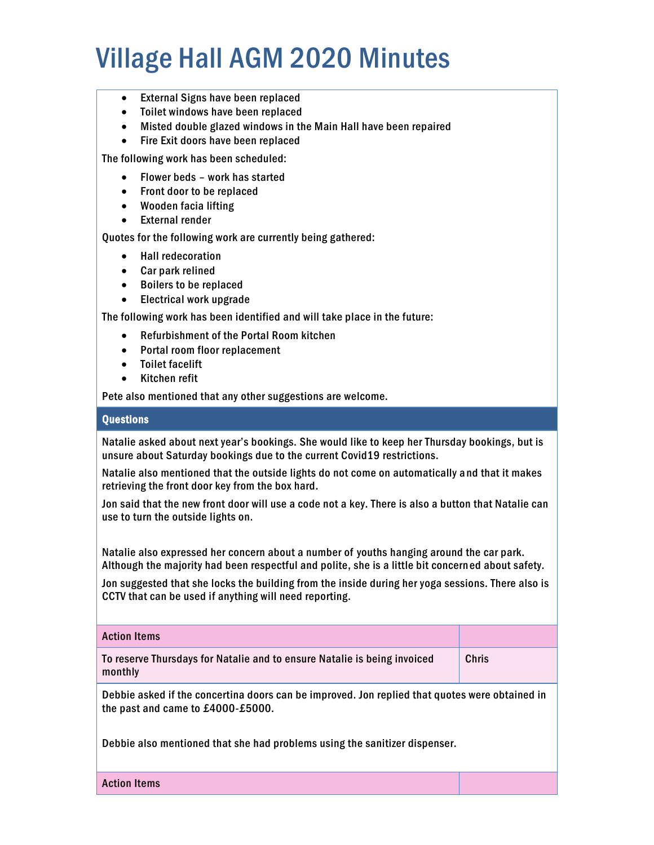# Village Hall AGM 2020 Minutes

- External Signs have been replaced
- Toilet windows have been replaced
- Misted double glazed windows in the Main Hall have been repaired
- Fire Exit doors have been replaced

The following work has been scheduled:

- Flower beds work has started
- Front door to be replaced
- Wooden facia lifting
- External render

Quotes for the following work are currently being gathered:

- Hall redecoration
- Car park relined
- Boilers to be replaced
- Electrical work upgrade

The following work has been identified and will take place in the future:

- Refurbishment of the Portal Room kitchen
- Portal room floor replacement
- Toilet facelift
- Kitchen refit

Pete also mentioned that any other suggestions are welcome.

#### **Ouestions**

Natalie asked about next year's bookings. She would like to keep her Thursday bookings, but is unsure about Saturday bookings due to the current Covid19 restrictions.

Natalie also mentioned that the outside lights do not come on automatically a nd that it makes retrieving the front door key from the box hard.

Jon said that the new front door will use a code not a key. There is also a button that Natalie can use to turn the outside lights on.

Natalie also expressed her concern about a number of youths hanging around the car park. Although the majority had been respectful and polite, she is a little bit concerned about safety.

Jon suggested that she locks the building from the inside during her yoga sessions. There also is CCTV that can be used if anything will need reporting.

Action Items

To reserve Thursdays for Natalie and to ensure Natalie is being invoiced monthly Chris

Debbie asked if the concertina doors can be improved. Jon replied that quotes were obtained in the past and came to £4000-£5000.

Debbie also mentioned that she had problems using the sanitizer dispenser.

Action Items